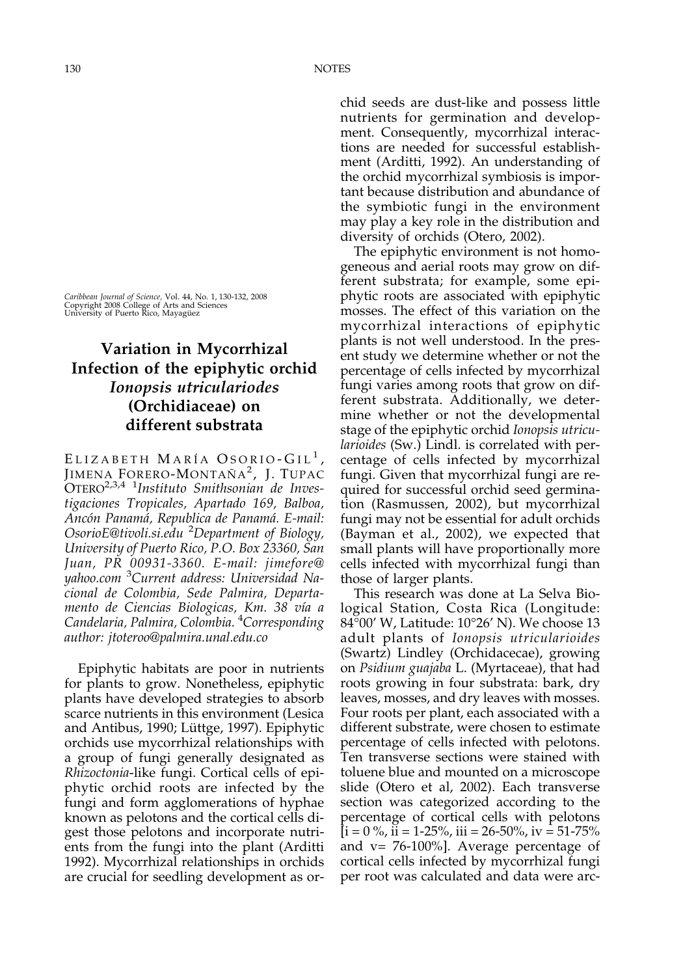*Caribbean Journal of Science,* Vol. 44, No. 1, 130-132, 2008<br>Copyright 2008 College of Arts and Sciences<br>University of Puerto Rico, Mayagüez

## **Variation in Mycorrhizal Infection of the epiphytic orchid** *Ionopsis utriculariodes* **(Orchidiaceae) on different substrata**

ELIZABETH MARÍA OSORIO-GIL<sup>1</sup> JIMENA FORERO-MONTAÑA<sup>2</sup>, J. TUPAC OTERO2,3,4 1*Instituto Smithsonian de Investigaciones Tropicales, Apartado 169, Balboa, Ancón Panamá, Republica de Panamá. E-mail: OsorioE@tivoli.si.edu* <sup>2</sup> *Department of Biology, University of Puerto Rico, P.O. Box 23360, San Juan, PR 00931-3360. E-mail: jimefore@ yahoo.com* <sup>3</sup> *Current address: Universidad Nacional de Colombia, Sede Palmira, Departamento de Ciencias Biologicas, Km. 38 vía a Candelaria, Palmira, Colombia.* <sup>4</sup> *Corresponding author: jtoteroo@palmira.unal.edu.co*

Epiphytic habitats are poor in nutrients for plants to grow. Nonetheless, epiphytic plants have developed strategies to absorb scarce nutrients in this environment (Lesica and Antibus, 1990; Lüttge, 1997). Epiphytic orchids use mycorrhizal relationships with a group of fungi generally designated as *Rhizoctonia*-like fungi. Cortical cells of epiphytic orchid roots are infected by the fungi and form agglomerations of hyphae known as pelotons and the cortical cells digest those pelotons and incorporate nutrients from the fungi into the plant (Arditti 1992). Mycorrhizal relationships in orchids are crucial for seedling development as orchid seeds are dust-like and possess little nutrients for germination and development. Consequently, mycorrhizal interactions are needed for successful establishment (Arditti, 1992). An understanding of the orchid mycorrhizal symbiosis is important because distribution and abundance of the symbiotic fungi in the environment may play a key role in the distribution and diversity of orchids (Otero, 2002).

The epiphytic environment is not homogeneous and aerial roots may grow on different substrata; for example, some epiphytic roots are associated with epiphytic mosses. The effect of this variation on the mycorrhizal interactions of epiphytic plants is not well understood. In the present study we determine whether or not the percentage of cells infected by mycorrhizal fungi varies among roots that grow on different substrata. Additionally, we determine whether or not the developmental stage of the epiphytic orchid *Ionopsis utricularioides* (Sw.) Lindl. is correlated with percentage of cells infected by mycorrhizal fungi. Given that mycorrhizal fungi are required for successful orchid seed germination (Rasmussen, 2002), but mycorrhizal fungi may not be essential for adult orchids (Bayman et al., 2002), we expected that small plants will have proportionally more cells infected with mycorrhizal fungi than those of larger plants.

This research was done at La Selva Biological Station, Costa Rica (Longitude: 84°00' W, Latitude: 10°26' N). We choose 13 adult plants of *Ionopsis utricularioides* (Swartz) Lindley (Orchidacecae), growing on *Psidium guajaba* L. (Myrtaceae), that had roots growing in four substrata: bark, dry leaves, mosses, and dry leaves with mosses. Four roots per plant, each associated with a different substrate, were chosen to estimate percentage of cells infected with pelotons. Ten transverse sections were stained with toluene blue and mounted on a microscope slide (Otero et al, 2002). Each transverse section was categorized according to the percentage of cortical cells with pelotons  $[i = 0 \text{ %}, ii = 1-25\%$ , iii = 26-50%, iv = 51-75% and v= 76-100%]. Average percentage of cortical cells infected by mycorrhizal fungi per root was calculated and data were arc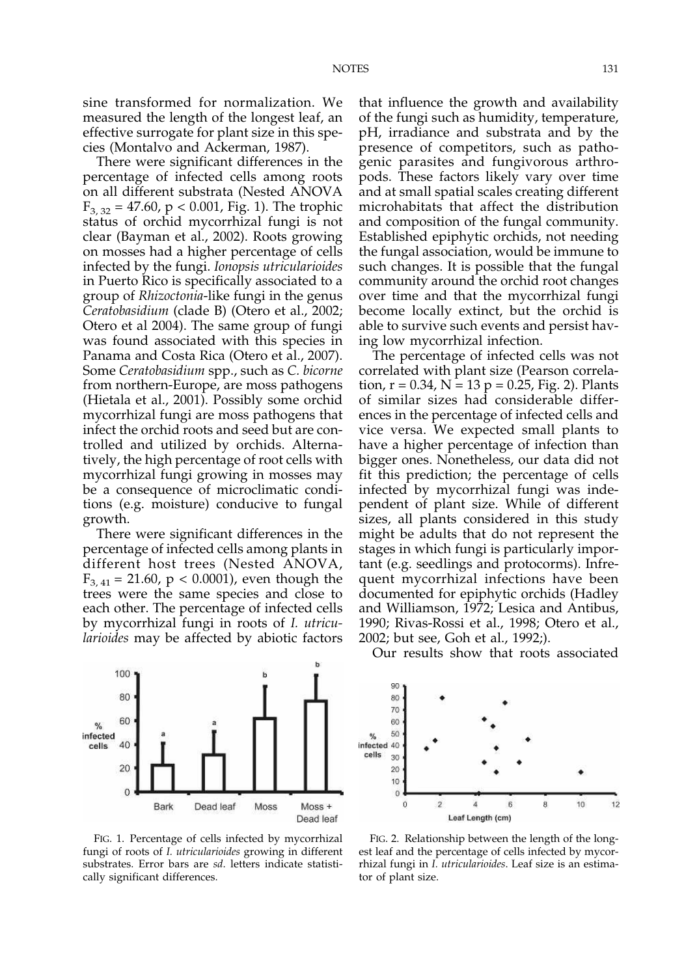sine transformed for normalization. We measured the length of the longest leaf, an effective surrogate for plant size in this species (Montalvo and Ackerman, 1987).

There were significant differences in the percentage of infected cells among roots on all different substrata (Nested ANOVA  $F_{3, 32} = 47.60$ , p < 0.001, Fig. 1). The trophic status of orchid mycorrhizal fungi is not clear (Bayman et al., 2002). Roots growing on mosses had a higher percentage of cells infected by the fungi. *Ionopsis utricularioides* in Puerto Rico is specifically associated to a group of *Rhizoctonia*-like fungi in the genus *Ceratobasidium* (clade B) (Otero et al., 2002; Otero et al 2004). The same group of fungi was found associated with this species in Panama and Costa Rica (Otero et al., 2007). Some *Ceratobasidium* spp., such as *C. bicorne* from northern-Europe, are moss pathogens (Hietala et al., 2001). Possibly some orchid mycorrhizal fungi are moss pathogens that infect the orchid roots and seed but are controlled and utilized by orchids. Alternatively, the high percentage of root cells with mycorrhizal fungi growing in mosses may be a consequence of microclimatic conditions (e.g. moisture) conducive to fungal growth.

There were significant differences in the percentage of infected cells among plants in different host trees (Nested ANOVA,  $F_{3,41} = 21.60$ , p < 0.0001), even though the trees were the same species and close to each other. The percentage of infected cells by mycorrhizal fungi in roots of *I. utricularioides* may be affected by abiotic factors



FIG. 1. Percentage of cells infected by mycorrhizal fungi of roots of *I. utricularioides* growing in different substrates. Error bars are *sd*. letters indicate statistically significant differences.

that influence the growth and availability of the fungi such as humidity, temperature, pH, irradiance and substrata and by the presence of competitors, such as pathogenic parasites and fungivorous arthropods. These factors likely vary over time and at small spatial scales creating different microhabitats that affect the distribution and composition of the fungal community. Established epiphytic orchids, not needing the fungal association, would be immune to such changes. It is possible that the fungal community around the orchid root changes over time and that the mycorrhizal fungi become locally extinct, but the orchid is able to survive such events and persist having low mycorrhizal infection.

The percentage of infected cells was not correlated with plant size (Pearson correlation,  $r = 0.34$ ,  $N = 13$   $p = 0.25$ , Fig. 2). Plants of similar sizes had considerable differences in the percentage of infected cells and vice versa. We expected small plants to have a higher percentage of infection than bigger ones. Nonetheless, our data did not fit this prediction; the percentage of cells infected by mycorrhizal fungi was independent of plant size. While of different sizes, all plants considered in this study might be adults that do not represent the stages in which fungi is particularly important (e.g. seedlings and protocorms). Infrequent mycorrhizal infections have been documented for epiphytic orchids (Hadley and Williamson, 1972; Lesica and Antibus, 1990; Rivas-Rossi et al., 1998; Otero et al., 2002; but see, Goh et al., 1992;).



Our results show that roots associated

FIG. 2. Relationship between the length of the longest leaf and the percentage of cells infected by mycorrhizal fungi in *I. utricularioides*. Leaf size is an estimator of plant size.